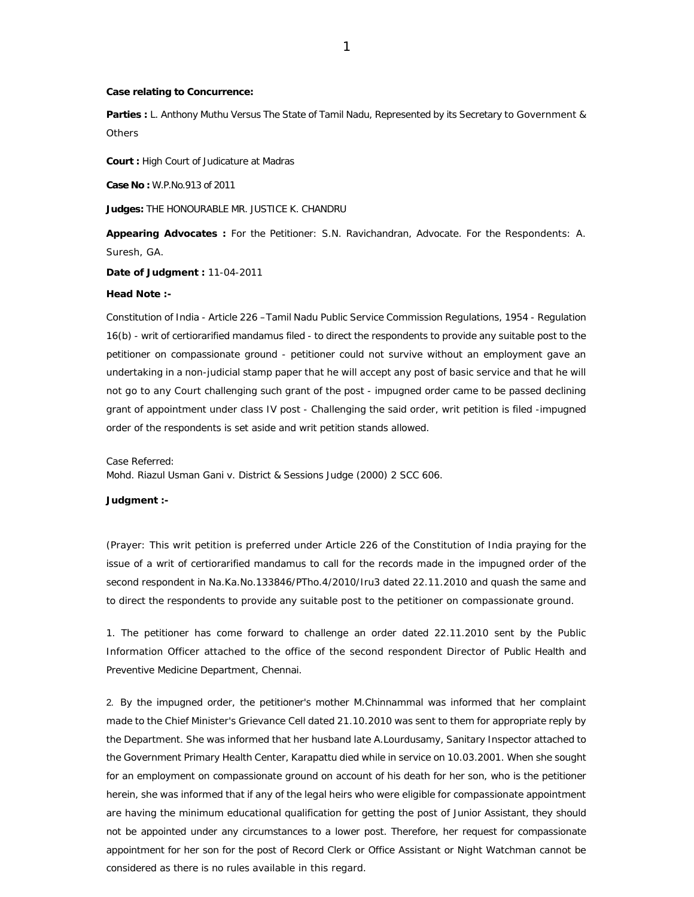## **Case relating to Concurrence:**

**Parties :** L. Anthony Muthu Versus The State of Tamil Nadu, Represented by its Secretary to Government & **Others** 

**Court :** High Court of Judicature at Madras

**Case No :** W.P.No.913 of 2011

**Judges:** THE HONOURABLE MR. JUSTICE K. CHANDRU

**Appearing Advocates :** For the Petitioner: S.N. Ravichandran, Advocate. For the Respondents: A. Suresh, GA.

**Date of Judgment :** 11-04-2011

### **Head Note :-**

Constitution of India - Article 226 –Tamil Nadu Public Service Commission Regulations, 1954 - Regulation 16(b) - writ of certiorarified mandamus filed - to direct the respondents to provide any suitable post to the petitioner on compassionate ground - petitioner could not survive without an employment gave an undertaking in a non-judicial stamp paper that he will accept any post of basic service and that he will not go to any Court challenging such grant of the post - impugned order came to be passed declining grant of appointment under class IV post - Challenging the said order, writ petition is filed -impugned order of the respondents is set aside and writ petition stands allowed.

Case Referred:

Mohd. Riazul Usman Gani v. District & Sessions Judge (2000) 2 SCC 606.

**Judgment :-**

(Prayer: This writ petition is preferred under Article 226 of the Constitution of India praying for the issue of a writ of certiorarified mandamus to call for the records made in the impugned order of the second respondent in Na.Ka.No.133846/PTho.4/2010/Iru3 dated 22.11.2010 and quash the same and to direct the respondents to provide any suitable post to the petitioner on compassionate ground.

1. The petitioner has come forward to challenge an order dated 22.11.2010 sent by the Public Information Officer attached to the office of the second respondent Director of Public Health and Preventive Medicine Department, Chennai.

2. By the impugned order, the petitioner's mother M.Chinnammal was informed that her complaint made to the Chief Minister's Grievance Cell dated 21.10.2010 was sent to them for appropriate reply by the Department. She was informed that her husband late A.Lourdusamy, Sanitary Inspector attached to the Government Primary Health Center, Karapattu died while in service on 10.03.2001. When she sought for an employment on compassionate ground on account of his death for her son, who is the petitioner herein, she was informed that if any of the legal heirs who were eligible for compassionate appointment are having the minimum educational qualification for getting the post of Junior Assistant, they should not be appointed under any circumstances to a lower post. Therefore, her request for compassionate appointment for her son for the post of Record Clerk or Office Assistant or Night Watchman cannot be considered as there is no rules available in this regard.

1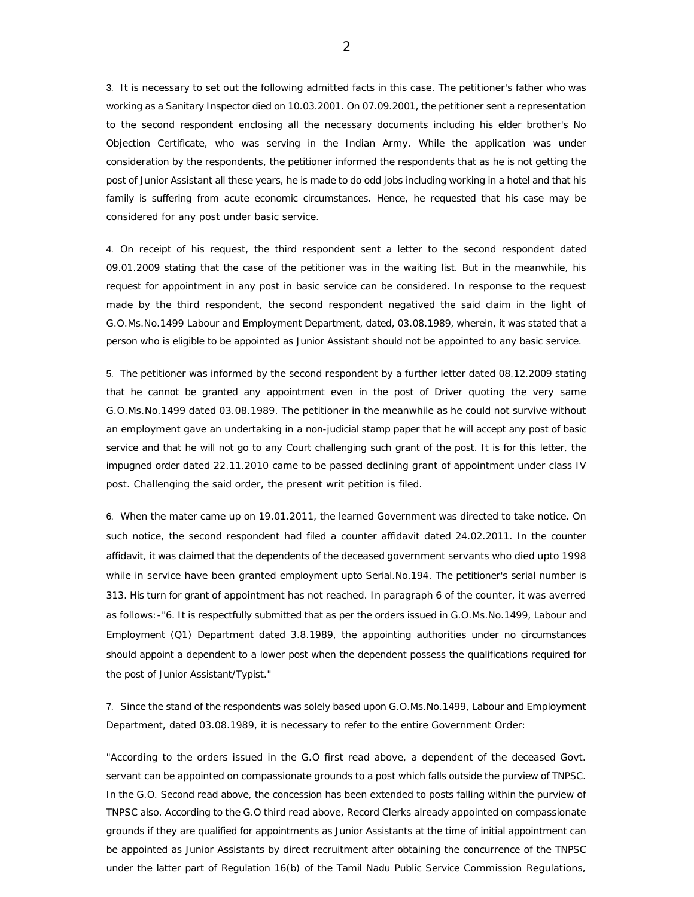3. It is necessary to set out the following admitted facts in this case. The petitioner's father who was working as a Sanitary Inspector died on 10.03.2001. On 07.09.2001, the petitioner sent a representation to the second respondent enclosing all the necessary documents including his elder brother's No Objection Certificate, who was serving in the Indian Army. While the application was under consideration by the respondents, the petitioner informed the respondents that as he is not getting the post of Junior Assistant all these years, he is made to do odd jobs including working in a hotel and that his family is suffering from acute economic circumstances. Hence, he requested that his case may be considered for any post under basic service.

4. On receipt of his request, the third respondent sent a letter to the second respondent dated 09.01.2009 stating that the case of the petitioner was in the waiting list. But in the meanwhile, his request for appointment in any post in basic service can be considered. In response to the request made by the third respondent, the second respondent negatived the said claim in the light of G.O.Ms.No.1499 Labour and Employment Department, dated, 03.08.1989, wherein, it was stated that a person who is eligible to be appointed as Junior Assistant should not be appointed to any basic service.

5. The petitioner was informed by the second respondent by a further letter dated 08.12.2009 stating that he cannot be granted any appointment even in the post of Driver quoting the very same G.O.Ms.No.1499 dated 03.08.1989. The petitioner in the meanwhile as he could not survive without an employment gave an undertaking in a non-judicial stamp paper that he will accept any post of basic service and that he will not go to any Court challenging such grant of the post. It is for this letter, the impugned order dated 22.11.2010 came to be passed declining grant of appointment under class IV post. Challenging the said order, the present writ petition is filed.

6. When the mater came up on 19.01.2011, the learned Government was directed to take notice. On such notice, the second respondent had filed a counter affidavit dated 24.02.2011. In the counter affidavit, it was claimed that the dependents of the deceased government servants who died upto 1998 while in service have been granted employment upto Serial.No.194. The petitioner's serial number is 313. His turn for grant of appointment has not reached. In paragraph 6 of the counter, it was averred as follows:-"6. It is respectfully submitted that as per the orders issued in G.O.Ms.No.1499, Labour and Employment (Q1) Department dated 3.8.1989, the appointing authorities under no circumstances should appoint a dependent to a lower post when the dependent possess the qualifications required for the post of Junior Assistant/Typist."

7. Since the stand of the respondents was solely based upon G.O.Ms.No.1499, Labour and Employment Department, dated 03.08.1989, it is necessary to refer to the entire Government Order:

"According to the orders issued in the G.O first read above, a dependent of the deceased Govt. servant can be appointed on compassionate grounds to a post which falls outside the purview of TNPSC. In the G.O. Second read above, the concession has been extended to posts falling within the purview of TNPSC also. According to the G.O third read above, Record Clerks already appointed on compassionate grounds if they are qualified for appointments as Junior Assistants at the time of initial appointment can be appointed as Junior Assistants by direct recruitment after obtaining the concurrence of the TNPSC under the latter part of Regulation 16(b) of the Tamil Nadu Public Service Commission Regulations,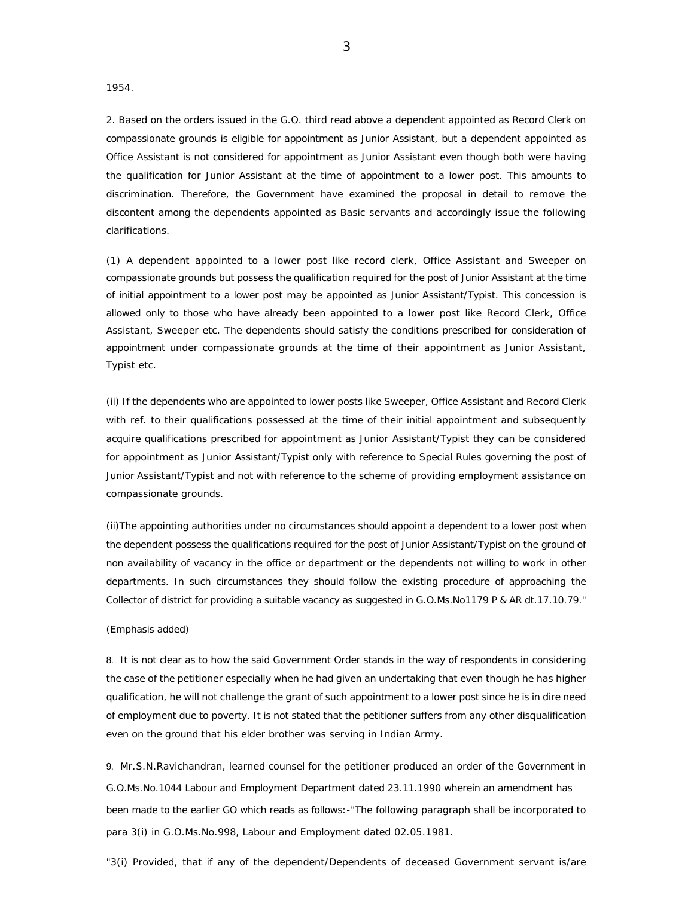1954.

2. Based on the orders issued in the G.O. third read above a dependent appointed as Record Clerk on compassionate grounds is eligible for appointment as Junior Assistant, but a dependent appointed as Office Assistant is not considered for appointment as Junior Assistant even though both were having the qualification for Junior Assistant at the time of appointment to a lower post. This amounts to discrimination. Therefore, the Government have examined the proposal in detail to remove the discontent among the dependents appointed as Basic servants and accordingly issue the following clarifications.

(1) A dependent appointed to a lower post like record clerk, Office Assistant and Sweeper on compassionate grounds but possess the qualification required for the post of Junior Assistant at the time of initial appointment to a lower post may be appointed as Junior Assistant/Typist. This concession is allowed only to those who have already been appointed to a lower post like Record Clerk, Office Assistant, Sweeper etc. The dependents should satisfy the conditions prescribed for consideration of appointment under compassionate grounds at the time of their appointment as Junior Assistant, Typist etc.

(ii) If the dependents who are appointed to lower posts like Sweeper, Office Assistant and Record Clerk with ref. to their qualifications possessed at the time of their initial appointment and subsequently acquire qualifications prescribed for appointment as Junior Assistant/Typist they can be considered for appointment as Junior Assistant/Typist only with reference to Special Rules governing the post of Junior Assistant/Typist and not with reference to the scheme of providing employment assistance on compassionate grounds.

(ii)The appointing authorities under no circumstances should appoint a dependent to a lower post when the dependent possess the qualifications required for the post of Junior Assistant/Typist on the ground of non availability of vacancy in the office or department or the dependents not willing to work in other departments. In such circumstances they should follow the existing procedure of approaching the Collector of district for providing a suitable vacancy as suggested in G.O.Ms.No1179 P & AR dt.17.10.79."

#### (Emphasis added)

8. It is not clear as to how the said Government Order stands in the way of respondents in considering the case of the petitioner especially when he had given an undertaking that even though he has higher qualification, he will not challenge the grant of such appointment to a lower post since he is in dire need of employment due to poverty. It is not stated that the petitioner suffers from any other disqualification even on the ground that his elder brother was serving in Indian Army.

9. Mr.S.N.Ravichandran, learned counsel for the petitioner produced an order of the Government in G.O.Ms.No.1044 Labour and Employment Department dated 23.11.1990 wherein an amendment has been made to the earlier GO which reads as follows:-"The following paragraph shall be incorporated to para 3(i) in G.O.Ms.No.998, Labour and Employment dated 02.05.1981.

"3(i) Provided, that if any of the dependent/Dependents of deceased Government servant is/are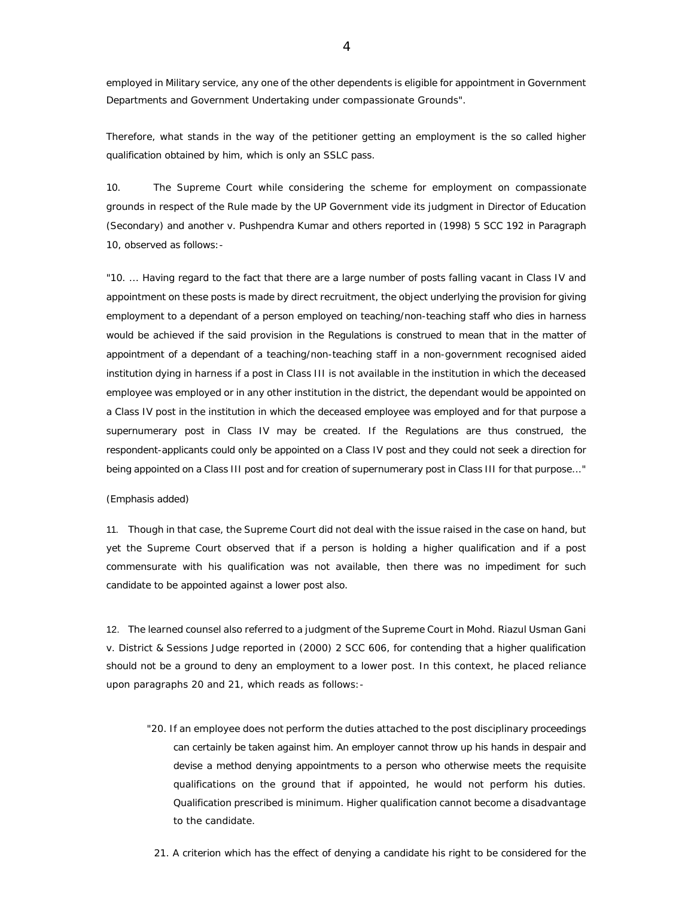employed in Military service, any one of the other dependents is eligible for appointment in Government Departments and Government Undertaking under compassionate Grounds".

Therefore, what stands in the way of the petitioner getting an employment is the so called higher qualification obtained by him, which is only an SSLC pass.

10. The Supreme Court while considering the scheme for employment on compassionate grounds in respect of the Rule made by the UP Government vide its judgment in Director of Education (Secondary) and another v. Pushpendra Kumar and others reported in (1998) 5 SCC 192 in Paragraph 10, observed as follows:-

"10. ... Having regard to the fact that there are a large number of posts falling vacant in Class IV and appointment on these posts is made by direct recruitment, the object underlying the provision for giving employment to a dependant of a person employed on teaching/non-teaching staff who dies in harness would be achieved if the said provision in the Regulations is construed to mean that in the matter of appointment of a dependant of a teaching/non-teaching staff in a non-government recognised aided institution dying in harness if a post in Class III is not available in the institution in which the deceased employee was employed or in any other institution in the district, the dependant would be appointed on a Class IV post in the institution in which the deceased employee was employed and for that purpose a supernumerary post in Class IV may be created. If the Regulations are thus construed, the respondent-applicants could only be appointed on a Class IV post and they could not seek a direction for being appointed on a Class III post and for creation of supernumerary post in Class III for that purpose..."

# (Emphasis added)

11. Though in that case, the Supreme Court did not deal with the issue raised in the case on hand, but yet the Supreme Court observed that if a person is holding a higher qualification and if a post commensurate with his qualification was not available, then there was no impediment for such candidate to be appointed against a lower post also.

12. The learned counsel also referred to a judgment of the Supreme Court in Mohd. Riazul Usman Gani v. District & Sessions Judge reported in (2000) 2 SCC 606, for contending that a higher qualification should not be a ground to deny an employment to a lower post. In this context, he placed reliance upon paragraphs 20 and 21, which reads as follows:-

 "20. If an employee does not perform the duties attached to the post disciplinary proceedings can certainly be taken against him. An employer cannot throw up his hands in despair and devise a method denying appointments to a person who otherwise meets the requisite qualifications on the ground that if appointed, he would not perform his duties. Qualification prescribed is minimum. Higher qualification cannot become a disadvantage to the candidate.